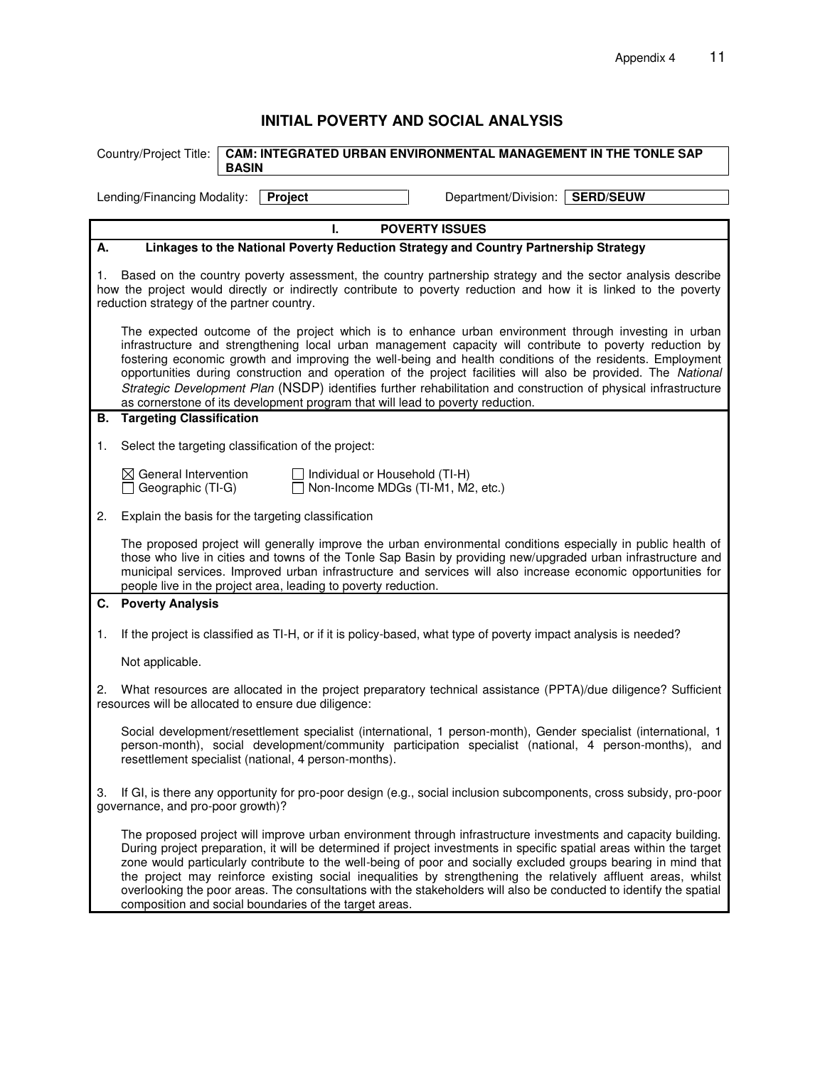## **INITIAL POVERTY AND SOCIAL ANALYSIS**

|                                                                                                                                                                                                                                                                                                                                                                                                                                                                                                                                                                                                                                                     | <b>CAM: INTEGRATED URBAN ENVIRONMENTAL MANAGEMENT IN THE TONLE SAP</b><br>Country/Project Title:<br><b>BASIN</b>                                                                                                                                                                                                                                                                                                                                                                                                                                                                                                                                         |  |  |  |  |  |
|-----------------------------------------------------------------------------------------------------------------------------------------------------------------------------------------------------------------------------------------------------------------------------------------------------------------------------------------------------------------------------------------------------------------------------------------------------------------------------------------------------------------------------------------------------------------------------------------------------------------------------------------------------|----------------------------------------------------------------------------------------------------------------------------------------------------------------------------------------------------------------------------------------------------------------------------------------------------------------------------------------------------------------------------------------------------------------------------------------------------------------------------------------------------------------------------------------------------------------------------------------------------------------------------------------------------------|--|--|--|--|--|
|                                                                                                                                                                                                                                                                                                                                                                                                                                                                                                                                                                                                                                                     | Department/Division: SERD/SEUW<br>Project<br>Lending/Financing Modality:                                                                                                                                                                                                                                                                                                                                                                                                                                                                                                                                                                                 |  |  |  |  |  |
| <b>POVERTY ISSUES</b><br>Ι.                                                                                                                                                                                                                                                                                                                                                                                                                                                                                                                                                                                                                         |                                                                                                                                                                                                                                                                                                                                                                                                                                                                                                                                                                                                                                                          |  |  |  |  |  |
| Linkages to the National Poverty Reduction Strategy and Country Partnership Strategy<br>А.                                                                                                                                                                                                                                                                                                                                                                                                                                                                                                                                                          |                                                                                                                                                                                                                                                                                                                                                                                                                                                                                                                                                                                                                                                          |  |  |  |  |  |
| Based on the country poverty assessment, the country partnership strategy and the sector analysis describe<br>1.<br>how the project would directly or indirectly contribute to poverty reduction and how it is linked to the poverty<br>reduction strategy of the partner country.                                                                                                                                                                                                                                                                                                                                                                  |                                                                                                                                                                                                                                                                                                                                                                                                                                                                                                                                                                                                                                                          |  |  |  |  |  |
| The expected outcome of the project which is to enhance urban environment through investing in urban<br>infrastructure and strengthening local urban management capacity will contribute to poverty reduction by<br>fostering economic growth and improving the well-being and health conditions of the residents. Employment<br>opportunities during construction and operation of the project facilities will also be provided. The National<br>Strategic Development Plan (NSDP) identifies further rehabilitation and construction of physical infrastructure<br>as cornerstone of its development program that will lead to poverty reduction. |                                                                                                                                                                                                                                                                                                                                                                                                                                                                                                                                                                                                                                                          |  |  |  |  |  |
| В.                                                                                                                                                                                                                                                                                                                                                                                                                                                                                                                                                                                                                                                  | <b>Targeting Classification</b>                                                                                                                                                                                                                                                                                                                                                                                                                                                                                                                                                                                                                          |  |  |  |  |  |
| 1.                                                                                                                                                                                                                                                                                                                                                                                                                                                                                                                                                                                                                                                  | Select the targeting classification of the project:                                                                                                                                                                                                                                                                                                                                                                                                                                                                                                                                                                                                      |  |  |  |  |  |
|                                                                                                                                                                                                                                                                                                                                                                                                                                                                                                                                                                                                                                                     | $\boxtimes$ General Intervention<br>Individual or Household (TI-H)<br>Non-Income MDGs (TI-M1, M2, etc.)<br>$\Box$ Geographic (TI-G)                                                                                                                                                                                                                                                                                                                                                                                                                                                                                                                      |  |  |  |  |  |
| 2.                                                                                                                                                                                                                                                                                                                                                                                                                                                                                                                                                                                                                                                  | Explain the basis for the targeting classification                                                                                                                                                                                                                                                                                                                                                                                                                                                                                                                                                                                                       |  |  |  |  |  |
|                                                                                                                                                                                                                                                                                                                                                                                                                                                                                                                                                                                                                                                     | The proposed project will generally improve the urban environmental conditions especially in public health of<br>those who live in cities and towns of the Tonle Sap Basin by providing new/upgraded urban infrastructure and<br>municipal services. Improved urban infrastructure and services will also increase economic opportunities for<br>people live in the project area, leading to poverty reduction.                                                                                                                                                                                                                                          |  |  |  |  |  |
|                                                                                                                                                                                                                                                                                                                                                                                                                                                                                                                                                                                                                                                     | C. Poverty Analysis                                                                                                                                                                                                                                                                                                                                                                                                                                                                                                                                                                                                                                      |  |  |  |  |  |
| 1.                                                                                                                                                                                                                                                                                                                                                                                                                                                                                                                                                                                                                                                  | If the project is classified as TI-H, or if it is policy-based, what type of poverty impact analysis is needed?                                                                                                                                                                                                                                                                                                                                                                                                                                                                                                                                          |  |  |  |  |  |
|                                                                                                                                                                                                                                                                                                                                                                                                                                                                                                                                                                                                                                                     | Not applicable.                                                                                                                                                                                                                                                                                                                                                                                                                                                                                                                                                                                                                                          |  |  |  |  |  |
| 2.                                                                                                                                                                                                                                                                                                                                                                                                                                                                                                                                                                                                                                                  | What resources are allocated in the project preparatory technical assistance (PPTA)/due diligence? Sufficient<br>resources will be allocated to ensure due diligence:                                                                                                                                                                                                                                                                                                                                                                                                                                                                                    |  |  |  |  |  |
|                                                                                                                                                                                                                                                                                                                                                                                                                                                                                                                                                                                                                                                     | Social development/resettlement specialist (international, 1 person-month), Gender specialist (international, 1<br>person-month), social development/community participation specialist (national, 4 person-months), and<br>resettlement specialist (national, 4 person-months).                                                                                                                                                                                                                                                                                                                                                                         |  |  |  |  |  |
| If GI, is there any opportunity for pro-poor design (e.g., social inclusion subcomponents, cross subsidy, pro-poor<br>З.<br>governance, and pro-poor growth)?                                                                                                                                                                                                                                                                                                                                                                                                                                                                                       |                                                                                                                                                                                                                                                                                                                                                                                                                                                                                                                                                                                                                                                          |  |  |  |  |  |
|                                                                                                                                                                                                                                                                                                                                                                                                                                                                                                                                                                                                                                                     | The proposed project will improve urban environment through infrastructure investments and capacity building.<br>During project preparation, it will be determined if project investments in specific spatial areas within the target<br>zone would particularly contribute to the well-being of poor and socially excluded groups bearing in mind that<br>the project may reinforce existing social inequalities by strengthening the relatively affluent areas, whilst<br>overlooking the poor areas. The consultations with the stakeholders will also be conducted to identify the spatial<br>composition and social boundaries of the target areas. |  |  |  |  |  |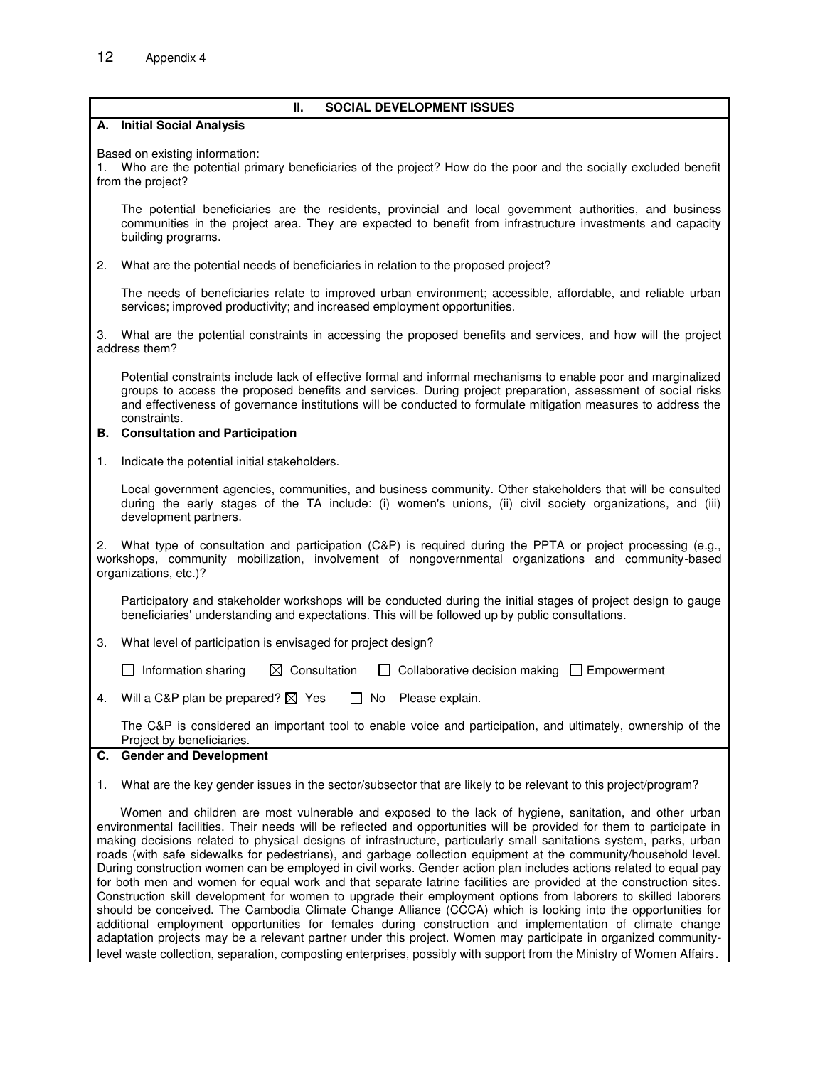|                                                                                                                                                                                                                                                                                                                                                                                                                                                                                                                                                                                                                                                                                                                                                                                                                                                                                                                                                                                                                                                                                                                                                                                                                                                                                                                 | Ш.<br><b>SOCIAL DEVELOPMENT ISSUES</b>                                                                                                                                                                                                                                                                                                                          |  |  |  |  |
|-----------------------------------------------------------------------------------------------------------------------------------------------------------------------------------------------------------------------------------------------------------------------------------------------------------------------------------------------------------------------------------------------------------------------------------------------------------------------------------------------------------------------------------------------------------------------------------------------------------------------------------------------------------------------------------------------------------------------------------------------------------------------------------------------------------------------------------------------------------------------------------------------------------------------------------------------------------------------------------------------------------------------------------------------------------------------------------------------------------------------------------------------------------------------------------------------------------------------------------------------------------------------------------------------------------------|-----------------------------------------------------------------------------------------------------------------------------------------------------------------------------------------------------------------------------------------------------------------------------------------------------------------------------------------------------------------|--|--|--|--|
|                                                                                                                                                                                                                                                                                                                                                                                                                                                                                                                                                                                                                                                                                                                                                                                                                                                                                                                                                                                                                                                                                                                                                                                                                                                                                                                 | A. Initial Social Analysis                                                                                                                                                                                                                                                                                                                                      |  |  |  |  |
| Based on existing information:<br>Who are the potential primary beneficiaries of the project? How do the poor and the socially excluded benefit<br>from the project?                                                                                                                                                                                                                                                                                                                                                                                                                                                                                                                                                                                                                                                                                                                                                                                                                                                                                                                                                                                                                                                                                                                                            |                                                                                                                                                                                                                                                                                                                                                                 |  |  |  |  |
|                                                                                                                                                                                                                                                                                                                                                                                                                                                                                                                                                                                                                                                                                                                                                                                                                                                                                                                                                                                                                                                                                                                                                                                                                                                                                                                 | The potential beneficiaries are the residents, provincial and local government authorities, and business<br>communities in the project area. They are expected to benefit from infrastructure investments and capacity<br>building programs.                                                                                                                    |  |  |  |  |
| 2.                                                                                                                                                                                                                                                                                                                                                                                                                                                                                                                                                                                                                                                                                                                                                                                                                                                                                                                                                                                                                                                                                                                                                                                                                                                                                                              | What are the potential needs of beneficiaries in relation to the proposed project?                                                                                                                                                                                                                                                                              |  |  |  |  |
|                                                                                                                                                                                                                                                                                                                                                                                                                                                                                                                                                                                                                                                                                                                                                                                                                                                                                                                                                                                                                                                                                                                                                                                                                                                                                                                 | The needs of beneficiaries relate to improved urban environment; accessible, affordable, and reliable urban<br>services; improved productivity; and increased employment opportunities.                                                                                                                                                                         |  |  |  |  |
| What are the potential constraints in accessing the proposed benefits and services, and how will the project<br>З.<br>address them?                                                                                                                                                                                                                                                                                                                                                                                                                                                                                                                                                                                                                                                                                                                                                                                                                                                                                                                                                                                                                                                                                                                                                                             |                                                                                                                                                                                                                                                                                                                                                                 |  |  |  |  |
|                                                                                                                                                                                                                                                                                                                                                                                                                                                                                                                                                                                                                                                                                                                                                                                                                                                                                                                                                                                                                                                                                                                                                                                                                                                                                                                 | Potential constraints include lack of effective formal and informal mechanisms to enable poor and marginalized<br>groups to access the proposed benefits and services. During project preparation, assessment of social risks<br>and effectiveness of governance institutions will be conducted to formulate mitigation measures to address the<br>constraints. |  |  |  |  |
|                                                                                                                                                                                                                                                                                                                                                                                                                                                                                                                                                                                                                                                                                                                                                                                                                                                                                                                                                                                                                                                                                                                                                                                                                                                                                                                 | <b>B.</b> Consultation and Participation                                                                                                                                                                                                                                                                                                                        |  |  |  |  |
| 1.                                                                                                                                                                                                                                                                                                                                                                                                                                                                                                                                                                                                                                                                                                                                                                                                                                                                                                                                                                                                                                                                                                                                                                                                                                                                                                              | Indicate the potential initial stakeholders.                                                                                                                                                                                                                                                                                                                    |  |  |  |  |
|                                                                                                                                                                                                                                                                                                                                                                                                                                                                                                                                                                                                                                                                                                                                                                                                                                                                                                                                                                                                                                                                                                                                                                                                                                                                                                                 | Local government agencies, communities, and business community. Other stakeholders that will be consulted<br>during the early stages of the TA include: (i) women's unions, (ii) civil society organizations, and (iii)<br>development partners.                                                                                                                |  |  |  |  |
| 2. What type of consultation and participation (C&P) is required during the PPTA or project processing (e.g.,<br>workshops, community mobilization, involvement of nongovernmental organizations and community-based<br>organizations, etc.)?                                                                                                                                                                                                                                                                                                                                                                                                                                                                                                                                                                                                                                                                                                                                                                                                                                                                                                                                                                                                                                                                   |                                                                                                                                                                                                                                                                                                                                                                 |  |  |  |  |
|                                                                                                                                                                                                                                                                                                                                                                                                                                                                                                                                                                                                                                                                                                                                                                                                                                                                                                                                                                                                                                                                                                                                                                                                                                                                                                                 | Participatory and stakeholder workshops will be conducted during the initial stages of project design to gauge<br>beneficiaries' understanding and expectations. This will be followed up by public consultations.                                                                                                                                              |  |  |  |  |
| 3.                                                                                                                                                                                                                                                                                                                                                                                                                                                                                                                                                                                                                                                                                                                                                                                                                                                                                                                                                                                                                                                                                                                                                                                                                                                                                                              | What level of participation is envisaged for project design?                                                                                                                                                                                                                                                                                                    |  |  |  |  |
|                                                                                                                                                                                                                                                                                                                                                                                                                                                                                                                                                                                                                                                                                                                                                                                                                                                                                                                                                                                                                                                                                                                                                                                                                                                                                                                 | $\Box$ Information sharing<br>$\boxtimes$ Consultation<br>Collaborative decision making<br>I Empowerment                                                                                                                                                                                                                                                        |  |  |  |  |
| 4.                                                                                                                                                                                                                                                                                                                                                                                                                                                                                                                                                                                                                                                                                                                                                                                                                                                                                                                                                                                                                                                                                                                                                                                                                                                                                                              | Will a C&P plan be prepared? $\boxtimes$ Yes<br>No.<br>Please explain.                                                                                                                                                                                                                                                                                          |  |  |  |  |
|                                                                                                                                                                                                                                                                                                                                                                                                                                                                                                                                                                                                                                                                                                                                                                                                                                                                                                                                                                                                                                                                                                                                                                                                                                                                                                                 | The C&P is considered an important tool to enable voice and participation, and ultimately, ownership of the<br>Project by beneficiaries.                                                                                                                                                                                                                        |  |  |  |  |
|                                                                                                                                                                                                                                                                                                                                                                                                                                                                                                                                                                                                                                                                                                                                                                                                                                                                                                                                                                                                                                                                                                                                                                                                                                                                                                                 | C. Gender and Development                                                                                                                                                                                                                                                                                                                                       |  |  |  |  |
| $\mathbf{1}$ .                                                                                                                                                                                                                                                                                                                                                                                                                                                                                                                                                                                                                                                                                                                                                                                                                                                                                                                                                                                                                                                                                                                                                                                                                                                                                                  | What are the key gender issues in the sector/subsector that are likely to be relevant to this project/program?                                                                                                                                                                                                                                                  |  |  |  |  |
| Women and children are most vulnerable and exposed to the lack of hygiene, sanitation, and other urban<br>environmental facilities. Their needs will be reflected and opportunities will be provided for them to participate in<br>making decisions related to physical designs of infrastructure, particularly small sanitations system, parks, urban<br>roads (with safe sidewalks for pedestrians), and garbage collection equipment at the community/household level.<br>During construction women can be employed in civil works. Gender action plan includes actions related to equal pay<br>for both men and women for equal work and that separate latrine facilities are provided at the construction sites.<br>Construction skill development for women to upgrade their employment options from laborers to skilled laborers<br>should be conceived. The Cambodia Climate Change Alliance (CCCA) which is looking into the opportunities for<br>additional employment opportunities for females during construction and implementation of climate change<br>adaptation projects may be a relevant partner under this project. Women may participate in organized community-<br>level waste collection, separation, composting enterprises, possibly with support from the Ministry of Women Affairs. |                                                                                                                                                                                                                                                                                                                                                                 |  |  |  |  |
|                                                                                                                                                                                                                                                                                                                                                                                                                                                                                                                                                                                                                                                                                                                                                                                                                                                                                                                                                                                                                                                                                                                                                                                                                                                                                                                 |                                                                                                                                                                                                                                                                                                                                                                 |  |  |  |  |